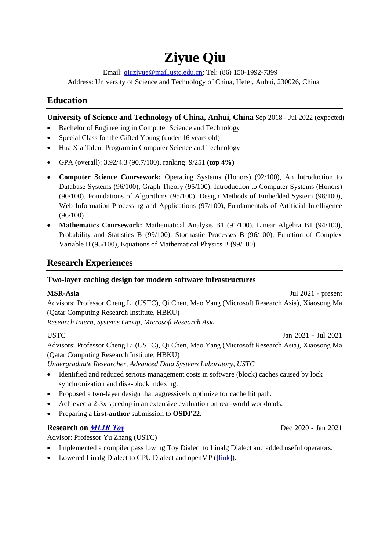# **Ziyue Qiu**

Email: [qiuziyue@mail.ustc.edu.cn;](mailto:qiuziyue@mail.ustc.edu.cn) Tel: (86) 150-1992-7399 Address: University of Science and Technology of China, Hefei, Anhui, 230026, China

## **Education**

#### **University of Science and Technology of China, Anhui, China** Sep 2018 - Jul 2022 (expected)

- Bachelor of Engineering in Computer Science and Technology
- Special Class for the Gifted Young (under 16 years old)
- Hua Xia Talent Program in Computer Science and Technology
- GPA (overall): 3.92/4.3 (90.7/100), ranking: 9/251 **(top 4%)**
- **Computer Science Coursework:** Operating Systems (Honors) (92/100), An Introduction to Database Systems (96/100), Graph Theory (95/100), Introduction to Computer Systems (Honors) (90/100), Foundations of Algorithms (95/100), Design Methods of Embedded System (98/100), Web Information Processing and Applications (97/100), Fundamentals of Artificial Intelligence (96/100)
- **Mathematics Coursework:** Mathematical Analysis B1 (91/100), Linear Algebra B1 (94/100), Probability and Statistics B (99/100), Stochastic Processes B (96/100), Function of Complex Variable B (95/100), Equations of Mathematical Physics B (99/100)

## **Research Experiences**

#### **Two-layer caching design for modern software infrastructures**

| <b>MSR-Asia</b>                                                                               | Jul $2021$ - present |
|-----------------------------------------------------------------------------------------------|----------------------|
| Advisors: Professor Cheng Li (USTC), Qi Chen, Mao Yang (Microsoft Research Asia), Xiaosong Ma |                      |
| (Qatar Computing Research Institute, HBKU)                                                    |                      |
| Research Intern, Systems Group, Microsoft Research Asia                                       |                      |
| <b>USTC</b>                                                                                   | Jan 2021 - Jul 2021  |
| Advisors: Professor Cheng Li (USTC) Oi Chen Mao Yang (Microsoft Research Asia) Xiaosong Ma    |                      |

ig (Microsoft Research Asia), Xiaosong (Qatar Computing Research Institute, HBKU)

*Undergraduate Researcher, Advanced Data Systems Laboratory, USTC* 

- Identified and reduced serious management costs in software (block) caches caused by lock synchronization and disk-block indexing.
- Proposed a two-layer design that aggressively optimize for cache hit path.
- Achieved a 2-3x speedup in an extensive evaluation on real-world workloads.
- Preparing a **first-author** submission to **OSDI'22**.

## **Research on** *[MLIR Toy](https://mlir.llvm.org/docs/Tutorials/Toy/)* Dec 2020 - Jan 2021

Advisor: Professor Yu Zhang (USTC)

- Implemented a compiler pass lowing Toy Dialect to Linalg Dialect and added useful operators.
- Lowered Linalg Dialect to GPU Dialect and openMP [\(\[link\]\)](https://gitee.com/RubyOcelot/ustc-compile-2020/tree/master/mlir-toy-new).